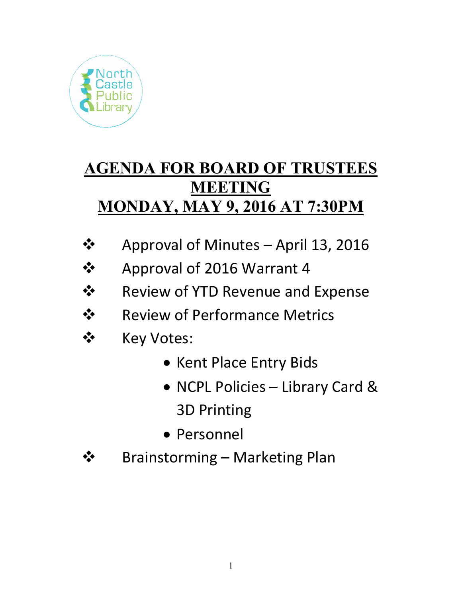

# **AGENDA FOR BOARD OF TRUSTEES MEETING MONDAY, MAY 9, 2016 AT 7:30PM**

- $\div$  Approval of Minutes April 13, 2016
- Approval of 2016 Warrant 4
- Review of YTD Revenue and Expense
- **❖** Review of Performance Metrics
- ❖ Key Votes:
	- Kent Place Entry Bids
	- NCPL Policies Library Card & 3D Printing
	- Personnel
- **❖** Brainstorming Marketing Plan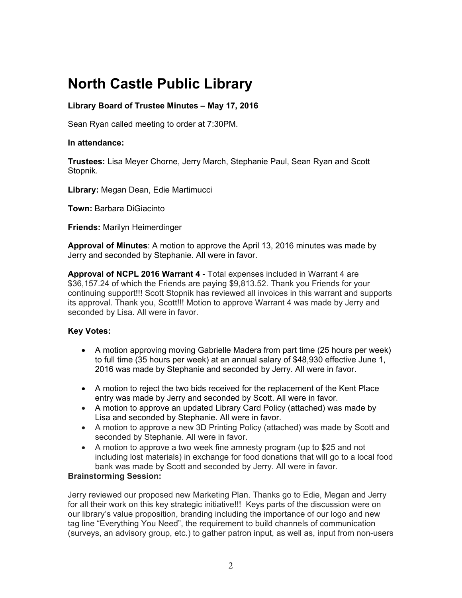## **North Castle Public Library**

## **Library Board of Trustee Minutes – May 17, 2016**

Sean Ryan called meeting to order at 7:30PM.

## **In attendance:**

**Trustees:** Lisa Meyer Chorne, Jerry March, Stephanie Paul, Sean Ryan and Scott Stopnik.

**Library:** Megan Dean, Edie Martimucci

**Town:** Barbara DiGiacinto

**Friends:** Marilyn Heimerdinger

**Approval of Minutes**: A motion to approve the April 13, 2016 minutes was made by Jerry and seconded by Stephanie. All were in favor.

**Approval of NCPL 2016 Warrant 4** - Total expenses included in Warrant 4 are \$36,157.24 of which the Friends are paying \$9,813.52. Thank you Friends for your continuing support!!! Scott Stopnik has reviewed all invoices in this warrant and supports its approval. Thank you, Scott!!! Motion to approve Warrant 4 was made by Jerry and seconded by Lisa. All were in favor.

## **Key Votes:**

- A motion approving moving Gabrielle Madera from part time (25 hours per week) to full time (35 hours per week) at an annual salary of \$48,930 effective June 1, 2016 was made by Stephanie and seconded by Jerry. All were in favor.
- A motion to reject the two bids received for the replacement of the Kent Place entry was made by Jerry and seconded by Scott. All were in favor.
- A motion to approve an updated Library Card Policy (attached) was made by Lisa and seconded by Stephanie. All were in favor.
- A motion to approve a new 3D Printing Policy (attached) was made by Scott and seconded by Stephanie. All were in favor.
- A motion to approve a two week fine amnesty program (up to \$25 and not including lost materials) in exchange for food donations that will go to a local food bank was made by Scott and seconded by Jerry. All were in favor.

## **Brainstorming Session:**

Jerry reviewed our proposed new Marketing Plan. Thanks go to Edie, Megan and Jerry for all their work on this key strategic initiative!!! Keys parts of the discussion were on our library's value proposition, branding including the importance of our logo and new tag line "Everything You Need", the requirement to build channels of communication (surveys, an advisory group, etc.) to gather patron input, as well as, input from non-users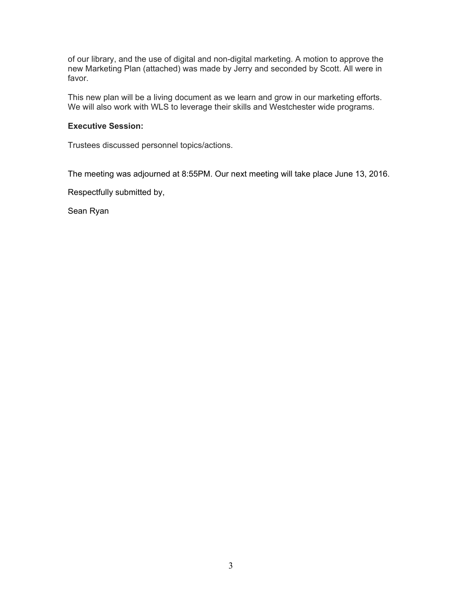of our library, and the use of digital and non-digital marketing. A motion to approve the new Marketing Plan (attached) was made by Jerry and seconded by Scott. All were in favor.

This new plan will be a living document as we learn and grow in our marketing efforts. We will also work with WLS to leverage their skills and Westchester wide programs.

## **Executive Session:**

Trustees discussed personnel topics/actions.

The meeting was adjourned at 8:55PM. Our next meeting will take place June 13, 2016.

Respectfully submitted by,

Sean Ryan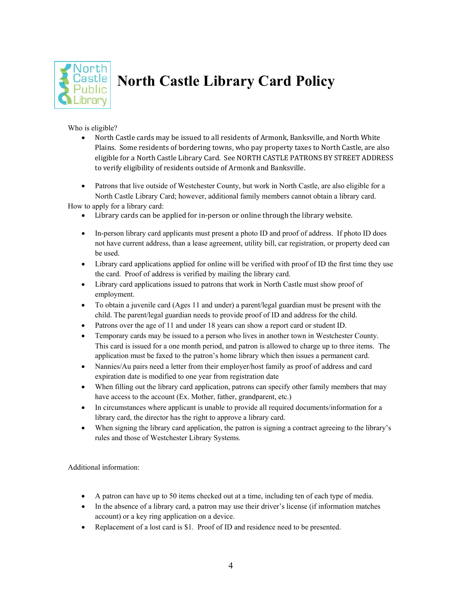

# **North Castle Library Card Policy**

Who is eligible?

• North Castle cards may be issued to all residents of Armonk, Banksville, and North White Plains. Some residents of bordering towns, who pay property taxes to North Castle, are also eligible for a North Castle Library Card. See NORTH CASTLE PATRONS BY STREET ADDRESS to verify eligibility of residents outside of Armonk and Banksville.

• Patrons that live outside of Westchester County, but work in North Castle, are also eligible for a North Castle Library Card; however, additional family members cannot obtain a library card. How to a pply for a library card:

• Library cards can be applied for in-person or online through the library website.

- In-person library card applicants must present a photo ID and proof of address. If photo ID does not have current address, than a lease agreement, utility bill, car registration, or property deed can be used.
- Library card applications applied for online will be verified with proof of ID the first time they use the card. Proof of address is verified by mailing the library card.
- Library card applications issued to patrons that work in North Castle must show proof of employment.
- To obtain a juvenile card (Ages 11 and under) a parent/legal guardian must be present with the child. The parent/legal guardian needs to provide proof of ID and address for the child.
- Patrons over the age of 11 and under 18 years can show a report card or student ID.
- Temporary cards may be issued to a person who lives in another town in Westchester County. This card is issued for a one month period, and patron is allowed to charge up to three items. The application must be faxed to the patron's home library which then issues a permanent card.
- Nannies/Au pairs need a letter from their employer/host family as proof of address and card expiration date is modified to one year from registration date
- When filling out the library card application, patrons can specify other family members that may have access to the account (Ex. Mother, father, grandparent, etc.)
- In circumstances where applicant is unable to provide all required documents/information for a library card, the director has the right to approve a library card.
- When signing the library card application, the patron is signing a contract agreeing to the library's rules and those of Westchester Library Systems.

Additional information:

- A patron can have up to 50 items checked out at a time, including ten of each type of media.
- In the absence of a library card, a patron may use their driver's license (if information matches account) or a key ring application on a device.
- Replacement of a lost card is \$1. Proof of ID and residence need to be presented.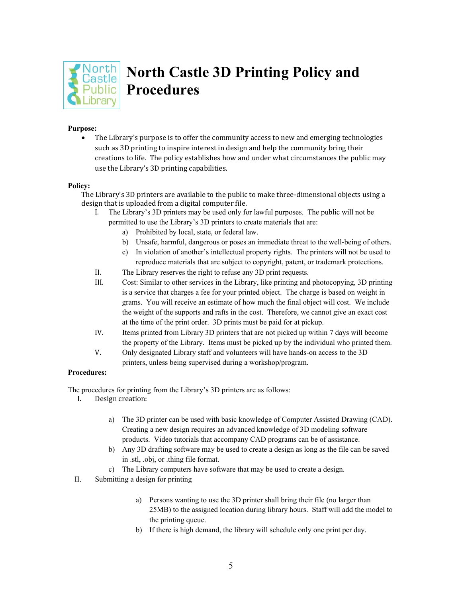

## **North Castle 3D Printing Policy and Procedures**

#### **Purpose:**

• The Library's purpose is to offer the community access to new and emerging technologies such as 3D printing to inspire interest in design and help the community bring their creations to life. The policy establishes how and under what circumstances the public may use the Library's 3D printing capabilities.

#### **Policy:**

The Library's 3D printers are available to the public to make three-dimensional objects using a design that is uploaded from a digital computer file.

- I. The Library's 3D printers may be used only for lawful purposes. The public will not be permitted to use the Library's 3D printers to create materials that are:
	- a) Prohibited by local, state, or federal law.
	- b) Unsafe, harmful, dangerous or poses an immediate threat to the well-being of others.
	- c) In violation of another's intellectual property rights. The printers will not be used to reproduce materials that are subject to copyright, patent, or trademark protections.
- II. The Library reserves the right to refuse any 3D print requests.
- III. Cost: Similar to other services in the Library, like printing and photocopying, 3D printing is a service that charges a fee for your printed object. The charge is based on weight in grams. You will receive an estimate of how much the final object will cost. We include the weight of the supports and rafts in the cost. Therefore, we cannot give an exact cost at the time of the print order. 3D prints must be paid for at pickup.
- IV. Items printed from Library 3D printers that are not picked up within 7 days will become the property of the Library. Items must be picked up by the individual who printed them.
- V. Only designated Library staff and volunteers will have hands-on access to the 3D printers, unless being supervised during a workshop/program.

#### **Procedures:**

The procedures for printing from the Library's 3D printers are as follows:

- I. Design creation:
	- a) The 3D printer can be used with basic knowledge of Computer Assisted Drawing (CAD). Creating a new design requires an advanced knowledge of 3D modeling software products. Video tutorials that accompany CAD programs can be of assistance.
	- b) Any 3D drafting software may be used to create a design as long as the file can be saved in .stl, .obj, or .thing file format.
	- c) The Library computers have software that may be used to create a design.
- II. Submitting a design for printing
	- a) Persons wanting to use the 3D printer shall bring their file (no larger than 25MB) to the assigned location during library hours. Staff will add the model to the printing queue.
	- b) If there is high demand, the library will schedule only one print per day.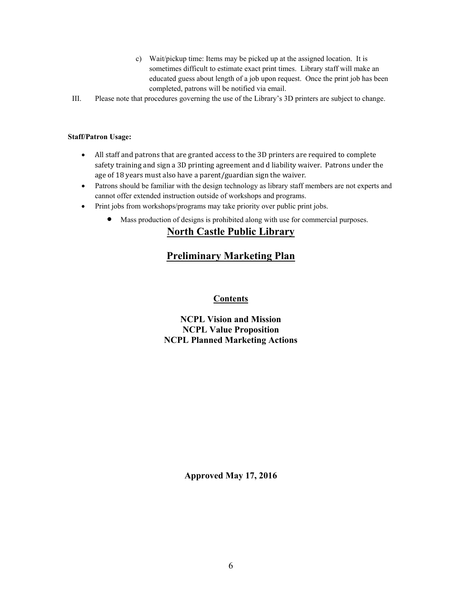- c) Wait/pickup time: Items may be picked up at the assigned location. It is sometimes difficult to estimate exact print times. Library staff will make an educated guess about length of a job upon request. Once the print job has been completed, patrons will be notified via email.
- III. Please note that procedures governing the use of the Library's 3D printers are subject to change.

### **Staff/Patron Usage:**

- All staff and patrons that are granted access to the 3D printers are required to complete safety training and sign a 3D printing agreement and d liability waiver. Patrons under the age of 18 years must also have a parent/guardian sign the waiver.
- Patrons should be familiar with the design technology as library staff members are not experts and cannot offer extended instruction outside of workshops and programs.
- Print jobs from workshops/programs may take priority over public print jobs.
	- Mass production of designs is prohibited along with use for commercial purposes.

## **North Castle Public Library**

## **Preliminary Marketing Plan**

## **Contents**

## **NCPL Vision and Mission NCPL Value Proposition NCPL Planned Marketing Actions**

**Approved May 17, 2016**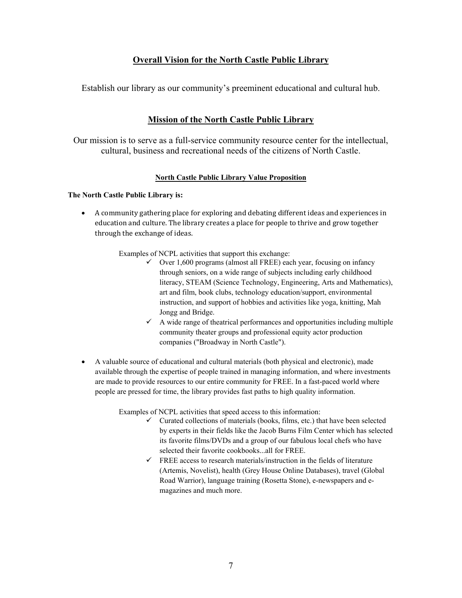## **Overall Vision for the North Castle Public Library**

Establish our library as our community's preeminent educational and cultural hub.

## **Mission of the North Castle Public Library**

Our mission is to serve as a full-service community resource center for the intellectual, cultural, business and recreational needs of the citizens of North Castle.

## **North Castle Public Library Value Proposition**

## **The North Castle Public Library is:**

• A community gathering place for exploring and debating different ideas and experiences in education and culture. The library creates a place for people to thrive and grow together through the exchange of ideas.

Examples of NCPL activities that support this exchange:

- $\checkmark$  Over 1,600 programs (almost all FREE) each year, focusing on infancy through seniors, on a wide range of subjects including early childhood literacy, STEAM (Science Technology, Engineering, Arts and Mathematics), art and film, book clubs, technology education/support, environmental instruction, and support of hobbies and activities like yoga, knitting, Mah Jongg and Bridge.
- $\checkmark$  A wide range of theatrical performances and opportunities including multiple community theater groups and professional equity actor production companies ("Broadway in North Castle").
- A valuable source of educational and cultural materials (both physical and electronic), made available through the expertise of people trained in managing information, and where investments are made to provide resources to our entire community for FREE. In a fast-paced world where people are pressed for time, the library provides fast paths to high quality information.

Examples of NCPL activities that speed access to this information:

- $\checkmark$  Curated collections of materials (books, films, etc.) that have been selected by experts in their fields like the Jacob Burns Film Center which has selected its favorite films/DVDs and a group of our fabulous local chefs who have selected their favorite cookbooks...all for FREE.
- $\checkmark$  FREE access to research materials/instruction in the fields of literature (Artemis, Novelist), health (Grey House Online Databases), travel (Global Road Warrior), language training (Rosetta Stone), e-newspapers and emagazines and much more.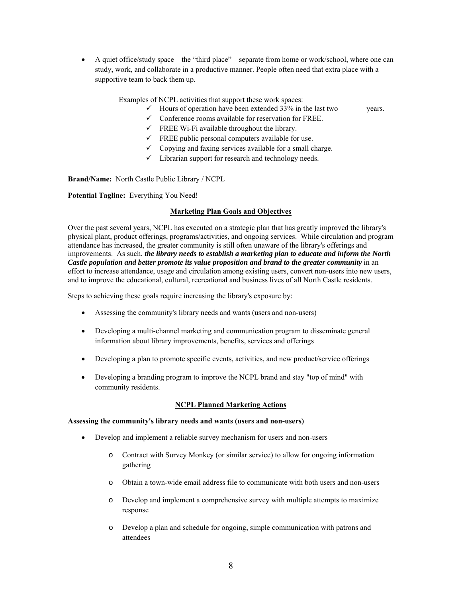$\bullet$  A quiet office/study space – the "third place" – separate from home or work/school, where one can study, work, and collaborate in a productive manner. People often need that extra place with a supportive team to back them up.

Examples of NCPL activities that support these work spaces:

- $\checkmark$  Hours of operation have been extended 33% in the last two years.
- $\checkmark$  Conference rooms available for reservation for FREE.
- $\checkmark$  FREE Wi-Fi available throughout the library.
- $\checkmark$  FREE public personal computers available for use.
- $\checkmark$  Copying and faxing services available for a small charge.
- $\checkmark$  Librarian support for research and technology needs.

**Brand/Name:** North Castle Public Library / NCPL

**Potential Tagline:** Everything You Need!

#### **Marketing Plan Goals and Objectives**

Over the past several years, NCPL has executed on a strategic plan that has greatly improved the library's physical plant, product offerings, programs/activities, and ongoing services. While circulation and program attendance has increased, the greater community is still often unaware of the library's offerings and improvements. As such, *the library needs to establish a marketing plan to educate and inform the North Castle population and better promote its value proposition and brand to the greater community* in an effort to increase attendance, usage and circulation among existing users, convert non-users into new users, and to improve the educational, cultural, recreational and business lives of all North Castle residents.

Steps to achieving these goals require increasing the library's exposure by:

- Assessing the community's library needs and wants (users and non-users)
- Developing a multi-channel marketing and communication program to disseminate general information about library improvements, benefits, services and offerings
- Developing a plan to promote specific events, activities, and new product/service offerings
- Developing a branding program to improve the NCPL brand and stay "top of mind" with community residents.

#### **NCPL Planned Marketing Actions**

#### **Assessing the community's library needs and wants (users and non-users)**

- Develop and implement a reliable survey mechanism for users and non-users
	- o Contract with Survey Monkey (or similar service) to allow for ongoing information gathering
	- o Obtain a town-wide email address file to communicate with both users and non-users
	- o Develop and implement a comprehensive survey with multiple attempts to maximize response
	- o Develop a plan and schedule for ongoing, simple communication with patrons and attendees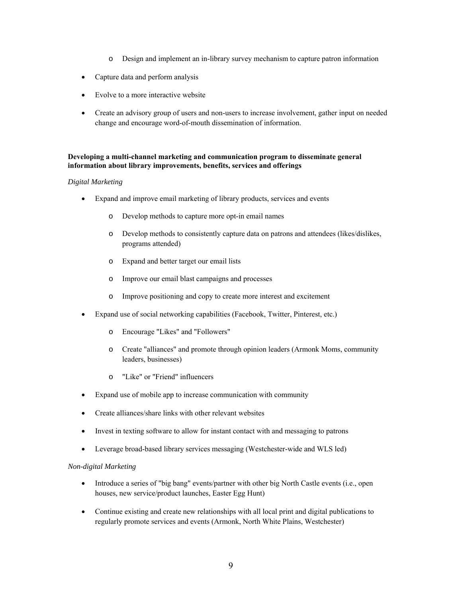- o Design and implement an in-library survey mechanism to capture patron information
- Capture data and perform analysis
- Evolve to a more interactive website
- Create an advisory group of users and non-users to increase involvement, gather input on needed change and encourage word-of-mouth dissemination of information.

### **Developing a multi-channel marketing and communication program to disseminate general information about library improvements, benefits, services and offerings**

#### *Digital Marketing*

- Expand and improve email marketing of library products, services and events
	- o Develop methods to capture more opt-in email names
	- o Develop methods to consistently capture data on patrons and attendees (likes/dislikes, programs attended)
	- o Expand and better target our email lists
	- o Improve our email blast campaigns and processes
	- o Improve positioning and copy to create more interest and excitement
- Expand use of social networking capabilities (Facebook, Twitter, Pinterest, etc.)
	- o Encourage "Likes" and "Followers"
	- o Create "alliances" and promote through opinion leaders (Armonk Moms, community leaders, businesses)
	- o "Like" or "Friend" influencers
- Expand use of mobile app to increase communication with community
- Create alliances/share links with other relevant websites
- Invest in texting software to allow for instant contact with and messaging to patrons
- Leverage broad-based library services messaging (Westchester-wide and WLS led)

#### *Non-digital Marketing*

- Introduce a series of "big bang" events/partner with other big North Castle events (i.e., open houses, new service/product launches, Easter Egg Hunt)
- Continue existing and create new relationships with all local print and digital publications to regularly promote services and events (Armonk, North White Plains, Westchester)